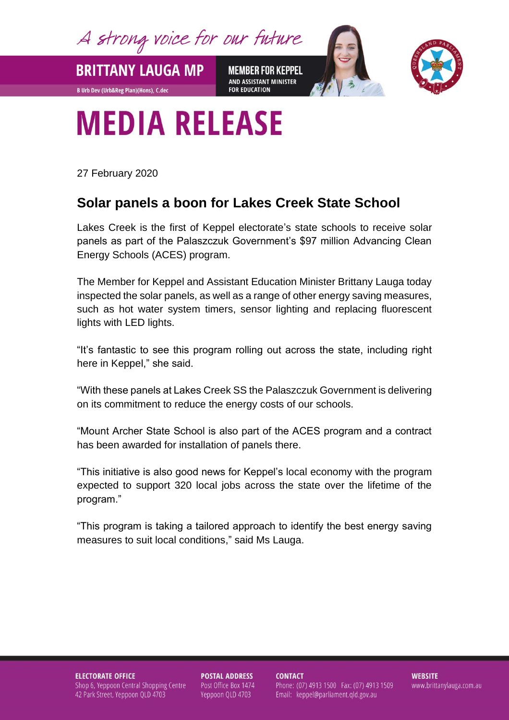A strong voice for our future

**MEMBER FOR KEPPEL** AND ASSISTANT MINISTER **FOR EDUCATION** 



## **MEDIA RELEASE**

27 February 2020

**BRITTANY LAUGA MP** 

**B Urb Dev (Urb&Reg Plan)(Hons), C.dec** 

## **Solar panels a boon for Lakes Creek State School**

Lakes Creek is the first of Keppel electorate's state schools to receive solar panels as part of the Palaszczuk Government's \$97 million Advancing Clean Energy Schools (ACES) program.

The Member for Keppel and Assistant Education Minister Brittany Lauga today inspected the solar panels, as well as a range of other energy saving measures, such as hot water system timers, sensor lighting and replacing fluorescent lights with LED lights.

"It's fantastic to see this program rolling out across the state, including right here in Keppel," she said.

"With these panels at Lakes Creek SS the Palaszczuk Government is delivering on its commitment to reduce the energy costs of our schools.

"Mount Archer State School is also part of the ACES program and a contract has been awarded for installation of panels there.

"This initiative is also good news for Keppel's local economy with the program expected to support 320 local jobs across the state over the lifetime of the program."

"This program is taking a tailored approach to identify the best energy saving measures to suit local conditions," said Ms Lauga.

**ELECTORATE OFFICE** Shop 6, Yeppoon Central Shopping Centre 42 Park Street, Yeppoon QLD 4703

**POSTAL ADDRESS** Post Office Box 1474 Yeppoon QLD 4703

**CONTACT** Phone: (07) 4913 1500 Fax: (07) 4913 1509 Email: keppel@parliament.qld.gov.au

**WEBSITE** www.brittanylauga.com.au